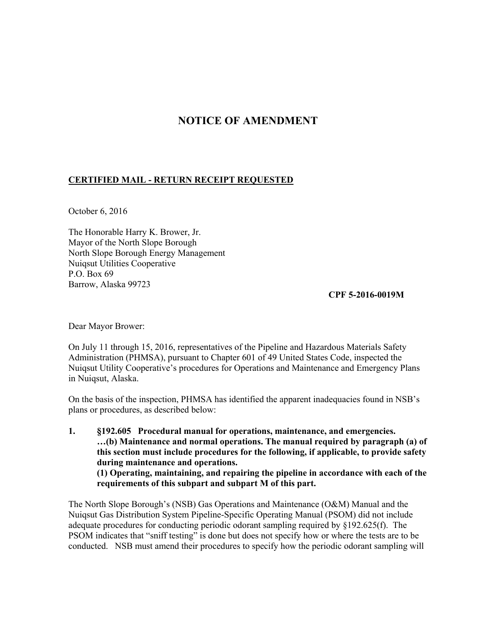## **NOTICE OF AMENDMENT**

## **CERTIFIED MAIL - RETURN RECEIPT REQUESTED**

October 6, 2016

The Honorable Harry K. Brower, Jr. Mayor of the North Slope Borough North Slope Borough Energy Management Nuiqsut Utilities Cooperative P.O. Box 69 Barrow, Alaska 99723

**CPF 5-2016-0019M** 

Dear Mayor Brower:

On July 11 through 15, 2016, representatives of the Pipeline and Hazardous Materials Safety Administration (PHMSA), pursuant to Chapter 601 of 49 United States Code, inspected the Nuiqsut Utility Cooperative's procedures for Operations and Maintenance and Emergency Plans in Nuiqsut, Alaska.

On the basis of the inspection, PHMSA has identified the apparent inadequacies found in NSB's plans or procedures, as described below:

**1. §192.605 Procedural manual for operations, maintenance, and emergencies. …(b) Maintenance and normal operations. The manual required by paragraph (a) of this section must include procedures for the following, if applicable, to provide safety during maintenance and operations. (1) Operating, maintaining, and repairing the pipeline in accordance with each of the requirements of this subpart and subpart M of this part.** 

The North Slope Borough's (NSB) Gas Operations and Maintenance (O&M) Manual and the Nuiqsut Gas Distribution System Pipeline-Specific Operating Manual (PSOM) did not include adequate procedures for conducting periodic odorant sampling required by §192.625(f). The PSOM indicates that "sniff testing" is done but does not specify how or where the tests are to be conducted. NSB must amend their procedures to specify how the periodic odorant sampling will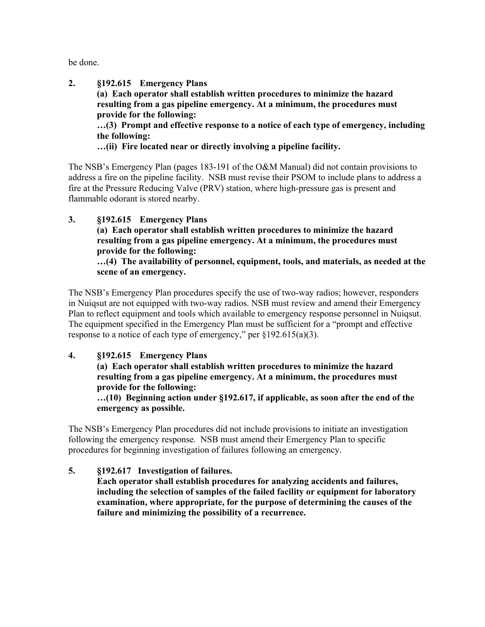be done.

**2. §192.615 Emergency Plans (a) Each operator shall establish written procedures to minimize the hazard resulting from a gas pipeline emergency. At a minimum, the procedures must provide for the following: …(3) Prompt and effective response to a notice of each type of emergency, including the following: …(ii) Fire located near or directly involving a pipeline facility.** 

The NSB's Emergency Plan (pages 183-191 of the O&M Manual) did not contain provisions to address a fire on the pipeline facility. NSB must revise their PSOM to include plans to address a fire at the Pressure Reducing Valve (PRV) station, where high-pressure gas is present and flammable odorant is stored nearby.

**3. §192.615 Emergency Plans (a) Each operator shall establish written procedures to minimize the hazard resulting from a gas pipeline emergency. At a minimum, the procedures must provide for the following: …(4) The availability of personnel, equipment, tools, and materials, as needed at the scene of an emergency.** 

The NSB's Emergency Plan procedures specify the use of two-way radios; however, responders in Nuiqsut are not equipped with two-way radios. NSB must review and amend their Emergency Plan to reflect equipment and tools which available to emergency response personnel in Nuiqsut. The equipment specified in the Emergency Plan must be sufficient for a "prompt and effective response to a notice of each type of emergency," per §192.615(a)(3).

**4. §192.615 Emergency Plans** 

**(a) Each operator shall establish written procedures to minimize the hazard resulting from a gas pipeline emergency. At a minimum, the procedures must provide for the following:** 

**…(10) Beginning action under §192.617, if applicable, as soon after the end of the emergency as possible.** 

The NSB's Emergency Plan procedures did not include provisions to initiate an investigation following the emergency response. NSB must amend their Emergency Plan to specific procedures for beginning investigation of failures following an emergency.

**5. §192.617 Investigation of failures. Each operator shall establish procedures for analyzing accidents and failures, including the selection of samples of the failed facility or equipment for laboratory examination, where appropriate, for the purpose of determining the causes of the failure and minimizing the possibility of a recurrence.**